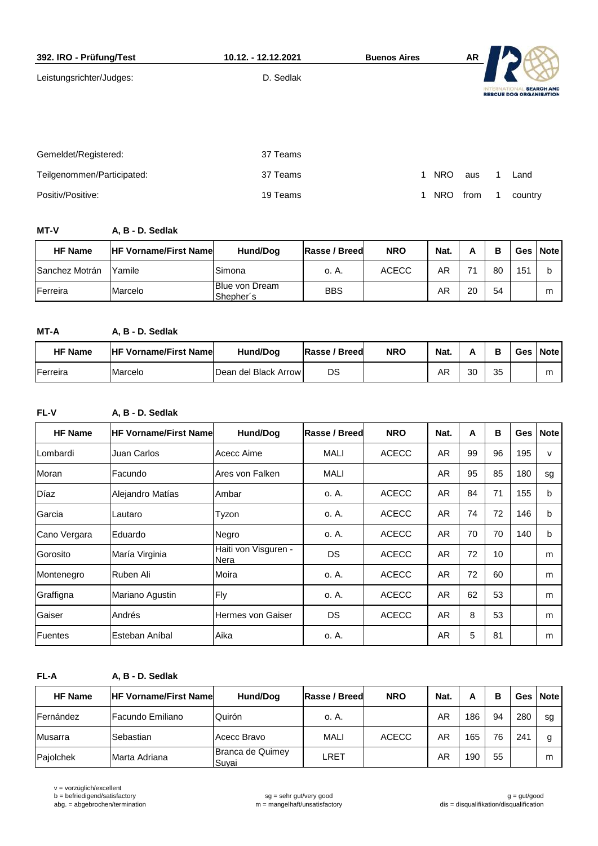| 392. IRO - Prüfung/Test    | 10.12. - 12.12.2021 | <b>Buenos Aires</b> | <b>AR</b> |                                                                          |
|----------------------------|---------------------|---------------------|-----------|--------------------------------------------------------------------------|
| Leistungsrichter/Judges:   | D. Sedlak           |                     |           | <b>SEARCH AND</b><br><b>INTERNATIO</b><br><b>RESCUE DOG ORGANISATION</b> |
|                            |                     |                     |           |                                                                          |
| Gemeldet/Registered:       | 37 Teams            |                     |           |                                                                          |
| Teilgenommen/Participated: | 37 Teams            | <b>NRO</b><br>1     | aus       | Land                                                                     |
| Positiv/Positive:          | 19 Teams            | <b>NRO</b>          | from      | country                                                                  |

**MT-V A, B - D. Sedlak**

| <b>HF Name</b>        | <b>IHF Vorname/First Namel</b> | Hund/Dog                           | Rasse / Breed | <b>NRO</b> | Nat. |    | в  | Ges l | <b>Note</b> |
|-----------------------|--------------------------------|------------------------------------|---------------|------------|------|----|----|-------|-------------|
| <b>Sanchez Motrán</b> | Yamile                         | Simona                             | o. A.         | ACECC      | AR   | 74 | 80 | 151   |             |
| Ferreira              | Marcelo                        | <b>Blue von Dream</b><br>Shepher's | <b>BBS</b>    |            | ΑR   | 20 | 54 |       | m           |

**MT-A A, B - D. Sedlak**

| <b>HF Name</b> | <b>HF Vorname/First Name</b> | Hund/Dog                | Rasse / Breed | <b>NRO</b> | Nat. |    | в  | Ges | <b>Note</b> |
|----------------|------------------------------|-------------------------|---------------|------------|------|----|----|-----|-------------|
| Ferreira       | Marcelo                      | IDean del Black Arrow I | DS            |            | ΑR   | 30 | 35 |     | m           |

**FL-V A, B - D. Sedlak**

| <b>HF Name</b> | <b>HF Vorname/First Name</b> | <b>Hund/Dog</b>              | Rasse / Breed | <b>NRO</b>   | Nat.      | A  | В  | Ges | <b>Note</b>  |
|----------------|------------------------------|------------------------------|---------------|--------------|-----------|----|----|-----|--------------|
| Lombardi       | Juan Carlos                  | Acecc Aime                   | <b>MALI</b>   | <b>ACECC</b> | AR        | 99 | 96 | 195 | $\mathsf{v}$ |
| Moran          | Facundo                      | Ares von Falken              | <b>MALI</b>   |              | AR        | 95 | 85 | 180 | sg           |
| Díaz           | Alejandro Matías             | Ambar                        | o. A.         | <b>ACECC</b> | <b>AR</b> | 84 | 71 | 155 | b            |
| Garcia         | Lautaro                      | Tyzon                        | o. A.         | <b>ACECC</b> | <b>AR</b> | 74 | 72 | 146 | b            |
| Cano Vergara   | Eduardo                      | Negro                        | o. A.         | <b>ACECC</b> | AR        | 70 | 70 | 140 | b            |
| Gorosito       | María Virginia               | Haiti von Visguren -<br>Nera | DS            | <b>ACECC</b> | <b>AR</b> | 72 | 10 |     | m            |
| Montenegro     | Ruben Ali                    | Moira                        | o. A.         | <b>ACECC</b> | <b>AR</b> | 72 | 60 |     | m            |
| Graffigna      | Mariano Agustin              | Fly                          | o. A.         | <b>ACECC</b> | <b>AR</b> | 62 | 53 |     | m            |
| Gaiser         | Andrés                       | Hermes von Gaiser            | DS            | <b>ACECC</b> | AR        | 8  | 53 |     | m            |
| Fuentes        | Esteban Aníbal               | Aika                         | o. A.         |              | AR        | 5  | 81 |     | m            |

**FL-A A, B - D. Sedlak**

| <b>HF Name</b> | <b>HF Vorname/First Namel</b> | Hund/Dog                  | Rasse / Breed | <b>NRO</b>   | Nat. | А   | в  |     | Ges   Note |
|----------------|-------------------------------|---------------------------|---------------|--------------|------|-----|----|-----|------------|
| Fernández      | l Facundo Emiliano            | Quirón                    | o. A.         |              | AR   | 186 | 94 | 280 | sg         |
| Musarra        | Sebastian                     | Acecc Bravo               | <b>MALI</b>   | <b>ACECC</b> | ΑR   | 165 | 76 | 241 | g          |
| Pajolchek      | Marta Adriana                 | Branca de Quimey<br>Suvai | LRET          |              | AR   | 190 | 55 |     | m          |